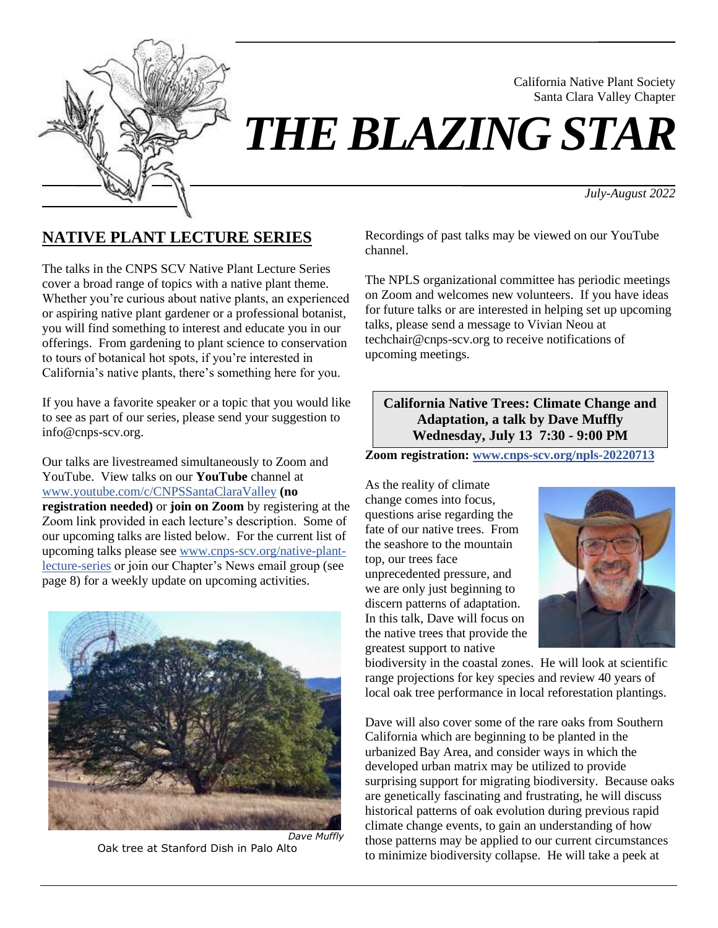

*THE BLAZING STAR*

*July-August 2022*

California Native Plant Society Santa Clara Valley Chapter

# **NATIVE PLANT LECTURE SERIES**

The talks in the CNPS SCV Native Plant Lecture Series cover a broad range of topics with a native plant theme. Whether you're curious about native plants, an experienced or aspiring native plant gardener or a professional botanist, you will find something to interest and educate you in our offerings. From gardening to plant science to conservation to tours of botanical hot spots, if you're interested in California's native plants, there's something here for you.

If you have a favorite speaker or a topic that you would like to see as part of our series, please send your suggestion to info@cnps-scv.org.

Our talks are livestreamed simultaneously to Zoom and YouTube. View talks on our **YouTube** channel at [www.youtube.com/c/CNPSSantaClaraValley](https://www.youtube.com/c/CNPSSantaClaraValley) **(no registration needed)** or **join on Zoom** by registering at the Zoom link provided in each lecture's description. Some of our upcoming talks are listed below. For the current list of upcoming talks please see [www.cnps-scv.org/native-plant](https://cnps-scv.org/native-plant-lecture-series)[lecture-series](https://cnps-scv.org/native-plant-lecture-series) or join our Chapter's News email group (see page 8) for a weekly update on upcoming activities.



Oak tree at Stanford Dish in Palo Alto

Recordings of past talks may be viewed on our YouTube channel.

The NPLS organizational committee has periodic meetings on Zoom and welcomes new volunteers. If you have ideas for future talks or are interested in helping set up upcoming talks, please send a message to Vivian Neou at techchair@cnps-scv.org to receive notifications of upcoming meetings.

**California Native Trees: Climate Change and Adaptation, a talk by Dave Muffly Wednesday, July 13 7:30 - 9:00 PM**

**Zoom registration: [www.cnps-scv.org/npls-20220713](https://cnps-scv.org/npls-20220713)**

As the reality of climate change comes into focus, questions arise regarding the fate of our native trees. From the seashore to the mountain top, our trees face unprecedented pressure, and we are only just beginning to discern patterns of adaptation. In this talk, Dave will focus on the native trees that provide the greatest support to native



biodiversity in the coastal zones. He will look at scientific range projections for key species and review 40 years of local oak tree performance in local reforestation plantings.

Dave will also cover some of the rare oaks from Southern California which are beginning to be planted in the urbanized Bay Area, and consider ways in which the developed urban matrix may be utilized to provide surprising support for migrating biodiversity. Because oaks are genetically fascinating and frustrating, he will discuss historical patterns of oak evolution during previous rapid climate change events, to gain an understanding of how those patterns may be applied to our current circumstances to minimize biodiversity collapse. He will take a peek at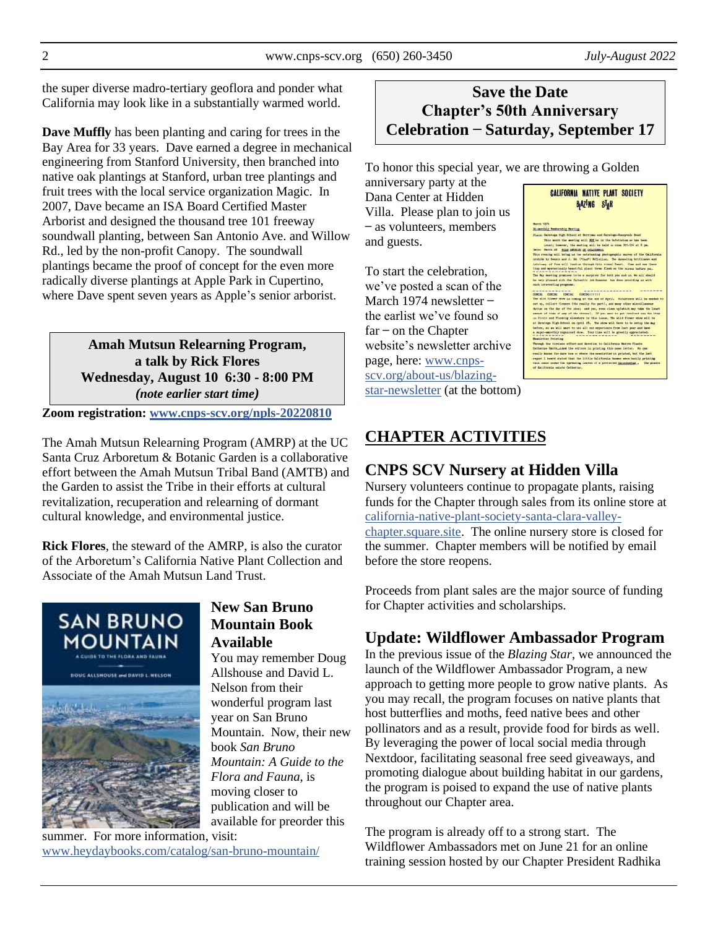the super diverse madro-tertiary geoflora and ponder what California may look like in a substantially warmed world.

**Dave Muffly** has been planting and caring for trees in the Bay Area for 33 years. Dave earned a degree in mechanical engineering from Stanford University, then branched into native oak plantings at Stanford, urban tree plantings and fruit trees with the local service organization Magic. In 2007, Dave became an ISA Board Certified Master Arborist and designed the thousand tree 101 freeway soundwall planting, between San Antonio Ave. and Willow Rd., led by the non-profit Canopy. The soundwall plantings became the proof of concept for the even more radically diverse plantings at Apple Park in Cupertino, where Dave spent seven years as Apple's senior arborist.

> **Amah Mutsun Relearning Program, a talk by Rick Flores Wednesday, August 10 6:30 - 8:00 PM** *(note earlier start time)*

**Zoom registration: [www.cnps-scv.org/npls-20220810](https://cnps-scv.org/npls-20220810)**

The Amah Mutsun Relearning Program (AMRP) at the UC Santa Cruz Arboretum & Botanic Garden is a collaborative effort between the Amah Mutsun Tribal Band (AMTB) and the Garden to assist the Tribe in their efforts at cultural revitalization, recuperation and relearning of dormant cultural knowledge, and environmental justice.

**Rick Flores**, the steward of the AMRP, is also the curator of the Arboretum's California Native Plant Collection and Associate of the Amah Mutsun Land Trust.



#### **New San Bruno Mountain Book Available**

You may remember Doug Allshouse and David L. Nelson from their wonderful program last year on San Bruno Mountain. Now, their new book *San Bruno Mountain: A Guide to the Flora and Fauna*, is moving closer to publication and will be available for preorder this

summer. For more information, visit: [www.heydaybooks.com/catalog/san-bruno-mountain/](https://www.heydaybooks.com/catalog/san-bruno-mountain/)

# **Save the Date Chapter's 50th Anniversary Celebration ̶ Saturday, September 17**

To honor this special year, we are throwing a Golden

anniversary party at the Dana Center at Hidden Villa. Please plan to join us – as volunteers, members and guests.

To start the celebration, we've posted a scan of the March 1974 newsletter – the earlist we've found so  $far$  – on the Chapter website's newsletter archive page, here: [www.cnps](https://cnps-scv.org/about-us/blazing-star-newsletter)[scv.org/about-us/blazing](https://cnps-scv.org/about-us/blazing-star-newsletter)[star-newsletter](https://cnps-scv.org/about-us/blazing-star-newsletter) (at the bottom)



# **CHAPTER ACTIVITIES**

# **CNPS SCV Nursery at Hidden Villa**

Nursery volunteers continue to propagate plants, raising funds for the Chapter through sales from its online store at [california-native-plant-society-santa-clara-valley](https://california-native-plant-society-santa-clara-valley-chapter.square.site/)[chapter.square.site.](https://california-native-plant-society-santa-clara-valley-chapter.square.site/) The online nursery store is closed for the summer. Chapter members will be notified by email before the store reopens.

Proceeds from plant sales are the major source of funding for Chapter activities and scholarships.

# **Update: Wildflower Ambassador Program**

In the previous issue of the *Blazing Star*, we announced the launch of the Wildflower Ambassador Program, a new approach to getting more people to grow native plants. As you may recall, the program focuses on native plants that host butterflies and moths, feed native bees and other pollinators and as a result, provide food for birds as well. By leveraging the power of local social media through Nextdoor, facilitating seasonal free seed giveaways, and promoting dialogue about building habitat in our gardens, the program is poised to expand the use of native plants throughout our Chapter area.

The program is already off to a strong start. The Wildflower Ambassadors met on June 21 for an online training session hosted by our Chapter President Radhika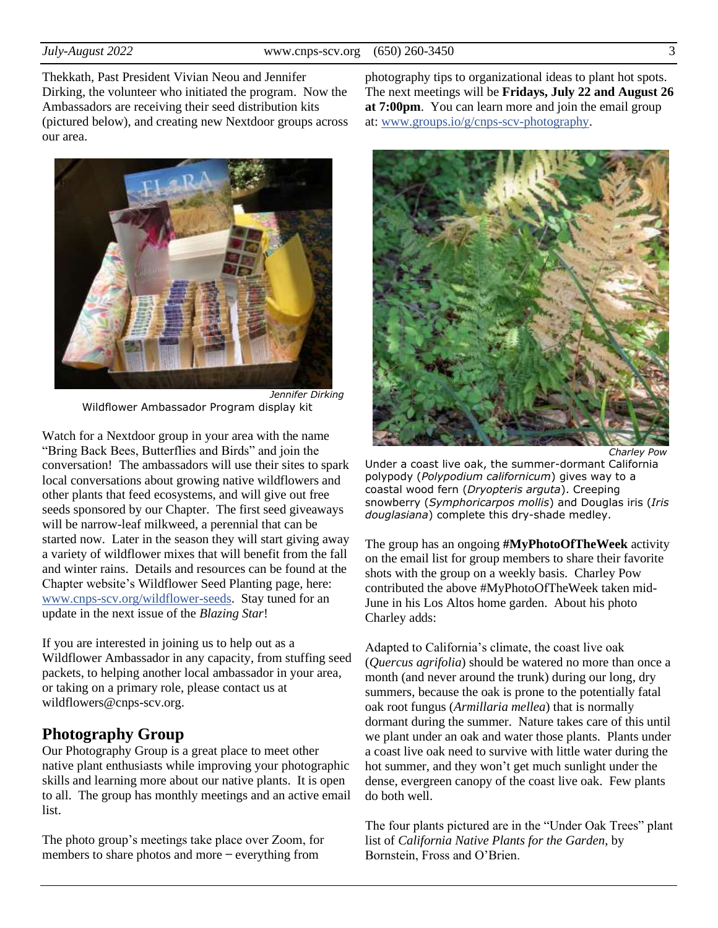Thekkath, Past President Vivian Neou and Jennifer Dirking, the volunteer who initiated the program. Now the Ambassadors are receiving their seed distribution kits (pictured below), and creating new Nextdoor groups across our area.



*Jennifer Dirking* Wildflower Ambassador Program display kit

Watch for a Nextdoor group in your area with the name "Bring Back Bees, Butterflies and Birds" and join the conversation! The ambassadors will use their sites to spark local conversations about growing native wildflowers and other plants that feed ecosystems, and will give out free seeds sponsored by our Chapter. The first seed giveaways will be narrow-leaf milkweed, a perennial that can be started now. Later in the season they will start giving away a variety of wildflower mixes that will benefit from the fall and winter rains. Details and resources can be found at the Chapter website's Wildflower Seed Planting page, here: [www.cnps-scv.org/wildflower-seeds.](https://www.cnps-scv.org/wildflower-seeds) Stay tuned for an update in the next issue of the *Blazing Star*!

If you are interested in joining us to help out as a Wildflower Ambassador in any capacity, from stuffing seed packets, to helping another local ambassador in your area, or taking on a primary role, please contact us at wildflowers@cnps-scv.org.

#### **Photography Group**

Our Photography Group is a great place to meet other native plant enthusiasts while improving your photographic skills and learning more about our native plants. It is open to all. The group has monthly meetings and an active email list.

The photo group's meetings take place over Zoom, for members to share photos and more – everything from

photography tips to organizational ideas to plant hot spots. The next meetings will be **Fridays, July 22 and August 26 at 7:00pm**. You can learn more and join the email group at: [www.groups.io/g/cnps-scv-photography.](https://www.groups.io/g/CNPS-SCV-Photography)



*Charley Pow*

Under a coast live oak, the summer-dormant California polypody (*Polypodium californicum*) gives way to a coastal wood fern (*Dryopteris arguta*). Creeping snowberry (*Symphoricarpos mollis*) and Douglas iris (*Iris douglasiana*) complete this dry-shade medley.

The group has an ongoing **#MyPhotoOfTheWeek** activity on the email list for group members to share their favorite shots with the group on a weekly basis. Charley Pow contributed the above #MyPhotoOfTheWeek taken mid-June in his Los Altos home garden. About his photo Charley adds:

Adapted to California's climate, the coast live oak (*Quercus agrifolia*) should be watered no more than once a month (and never around the trunk) during our long, dry summers, because the oak is prone to the potentially fatal oak root fungus (*Armillaria mellea*) that is normally dormant during the summer. Nature takes care of this until we plant under an oak and water those plants. Plants under a coast live oak need to survive with little water during the hot summer, and they won't get much sunlight under the dense, evergreen canopy of the coast live oak. Few plants do both well.

The four plants pictured are in the "Under Oak Trees" plant list of *California Native Plants for the Garden*, by Bornstein, Fross and O'Brien.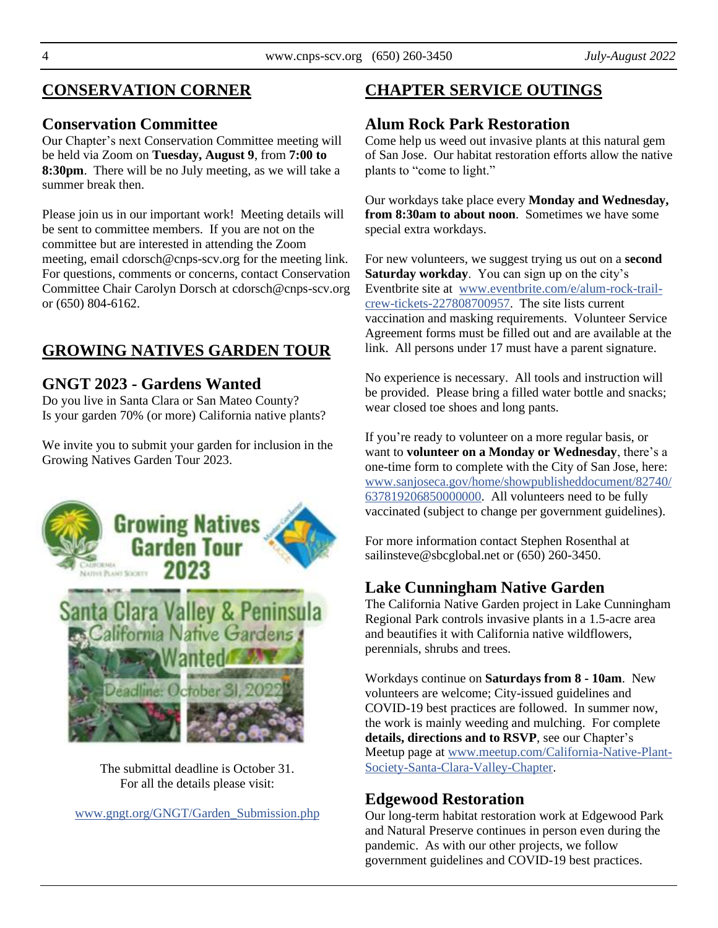# **CONSERVATION CORNER**

## **Conservation Committee**

Our Chapter's next Conservation Committee meeting will be held via Zoom on **Tuesday, August 9**, from **7:00 to 8:30pm**. There will be no July meeting, as we will take a summer break then.

Please join us in our important work! Meeting details will be sent to committee members. If you are not on the committee but are interested in attending the Zoom meeting, email cdorsch@cnps-scv.org for the meeting link. For questions, comments or concerns, contact Conservation Committee Chair Carolyn Dorsch at cdorsch@cnps-scv.org or (650) 804-6162.

# **GROWING NATIVES GARDEN TOUR**

## **GNGT 2023 - Gardens Wanted**

Do you live in Santa Clara or San Mateo County? Is your garden 70% (or more) California native plants?

We invite you to submit your garden for inclusion in the Growing Natives Garden Tour 2023.



The submittal deadline is October 31. For all the details please visit:

[www.gngt.org/GNGT/Garden\\_Submission.php](https://www.gngt.org/GNGT/Garden_Submission.php)

# **CHAPTER SERVICE OUTINGS**

# **Alum Rock Park Restoration**

Come help us weed out invasive plants at this natural gem of San Jose. Our habitat restoration efforts allow the native plants to "come to light."

Our workdays take place every **Monday and Wednesday, from 8:30am to about noon**. Sometimes we have some special extra workdays.

For new volunteers, we suggest trying us out on a **second Saturday workday**. You can sign up on the city's Eventbrite site at [www.eventbrite.com/e/alum-rock-trail](https://www.eventbrite.com/e/alum-rock-trail-crew-tickets-227808700957)[crew-tickets-227808700957.](https://www.eventbrite.com/e/alum-rock-trail-crew-tickets-227808700957) The site lists current vaccination and masking requirements. Volunteer Service Agreement forms must be filled out and are available at the link. All persons under 17 must have a parent signature.

No experience is necessary. All tools and instruction will be provided. Please bring a filled water bottle and snacks; wear closed toe shoes and long pants.

If you're ready to volunteer on a more regular basis, or want to **volunteer on a Monday or Wednesday**, there's a one-time form to complete with the City of San Jose, here: [www.sanjoseca.gov/home/showpublisheddocument/82740/](https://www.sanjoseca.gov/home/showpublisheddocument/82740/637819206850000000) [637819206850000000.](https://www.sanjoseca.gov/home/showpublisheddocument/82740/637819206850000000) All volunteers need to be fully vaccinated (subject to change per government guidelines).

For more information contact Stephen Rosenthal at sailinsteve@sbcglobal.net or (650) 260-3450.

# **Lake Cunningham Native Garden**

The California Native Garden project in Lake Cunningham Regional Park controls invasive plants in a 1.5-acre area and beautifies it with California native wildflowers, perennials, shrubs and trees.

Workdays continue on **Saturdays from 8 - 10am**. New volunteers are welcome; City-issued guidelines and COVID-19 best practices are followed. In summer now, the work is mainly weeding and mulching. For complete **details, directions and to RSVP**, see our Chapter's Meetup page at [www.meetup.com/California-Native-Plant-](https://www.meetup.com/California-Native-Plant-Society-Santa-Clara-Valley-Chapter/)[Society-Santa-Clara-Valley-Chapter.](https://www.meetup.com/California-Native-Plant-Society-Santa-Clara-Valley-Chapter/)

# **Edgewood Restoration**

Our long-term habitat restoration work at Edgewood Park and Natural Preserve continues in person even during the pandemic. As with our other projects, we follow government guidelines and COVID-19 best practices.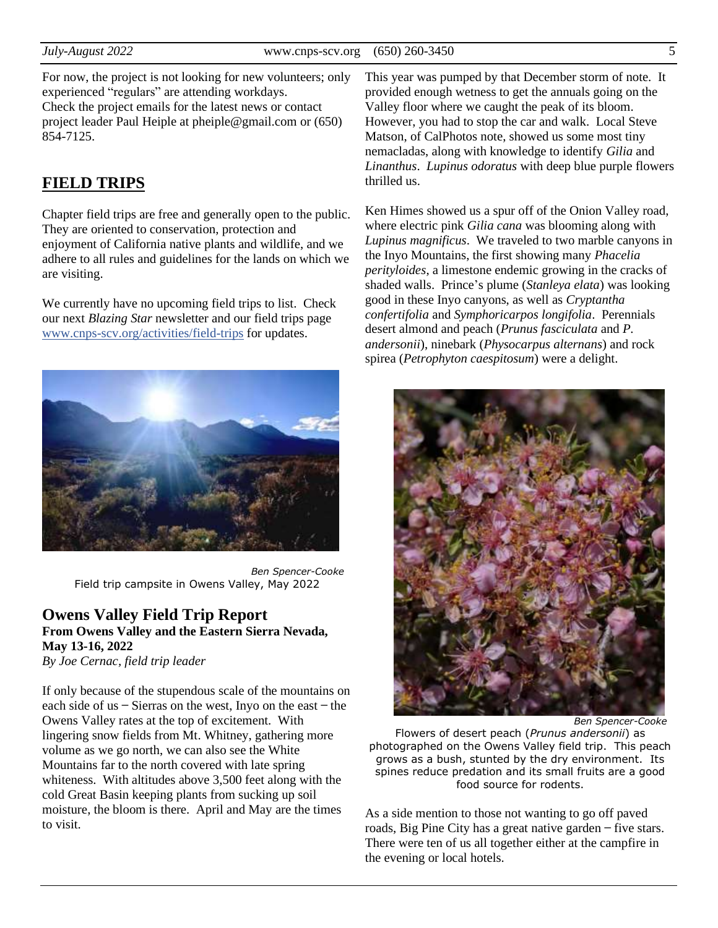For now, the project is not looking for new volunteers; only experienced "regulars" are attending workdays. Check the project emails for the latest news or contact project leader Paul Heiple at pheiple@gmail.com or (650) 854-7125.

#### **FIELD TRIPS**

Chapter field trips are free and generally open to the public. They are oriented to conservation, protection and enjoyment of California native plants and wildlife, and we adhere to all rules and guidelines for the lands on which we are visiting.

We currently have no upcoming field trips to list. Check our next *Blazing Star* newsletter and our field trips page [www.cnps-scv.org/activities/field-trips](https://www.cnps-scv.org/activities/field-trips/) for updates.



*Ben Spencer-Cooke* Field trip campsite in Owens Valley, May 2022

#### **Owens Valley Field Trip Report From Owens Valley and the Eastern Sierra Nevada, May 13-16, 2022**

*By Joe Cernac, field trip leader*

If only because of the stupendous scale of the mountains on each side of us  $-$  Sierras on the west, Inyo on the east  $-$  the Owens Valley rates at the top of excitement. With lingering snow fields from Mt. Whitney, gathering more volume as we go north, we can also see the White Mountains far to the north covered with late spring whiteness. With altitudes above 3,500 feet along with the cold Great Basin keeping plants from sucking up soil moisture, the bloom is there. April and May are the times to visit.

This year was pumped by that December storm of note. It provided enough wetness to get the annuals going on the Valley floor where we caught the peak of its bloom. However, you had to stop the car and walk. Local Steve Matson, of CalPhotos note, showed us some most tiny nemacladas, along with knowledge to identify *Gilia* and *Linanthus*. *Lupinus odoratus* with deep blue purple flowers thrilled us.

Ken Himes showed us a spur off of the Onion Valley road, where electric pink *Gilia cana* was blooming along with *Lupinus magnificus*. We traveled to two marble canyons in the Inyo Mountains, the first showing many *Phacelia perityloides*, a limestone endemic growing in the cracks of shaded walls. Prince's plume (*Stanleya elata*) was looking good in these Inyo canyons, as well as *Cryptantha confertifolia* and *Symphoricarpos longifolia*. Perennials desert almond and peach (*Prunus fasciculata* and *P. andersonii*), ninebark (*Physocarpus alternans*) and rock spirea (*Petrophyton caespitosum*) were a delight.



*Ben Spencer-Cooke*

Flowers of desert peach (*Prunus andersonii*) as photographed on the Owens Valley field trip. This peach grows as a bush, stunted by the dry environment. Its spines reduce predation and its small fruits are a good food source for rodents.

As a side mention to those not wanting to go off paved roads, Big Pine City has a great native garden ̶ five stars. There were ten of us all together either at the campfire in the evening or local hotels.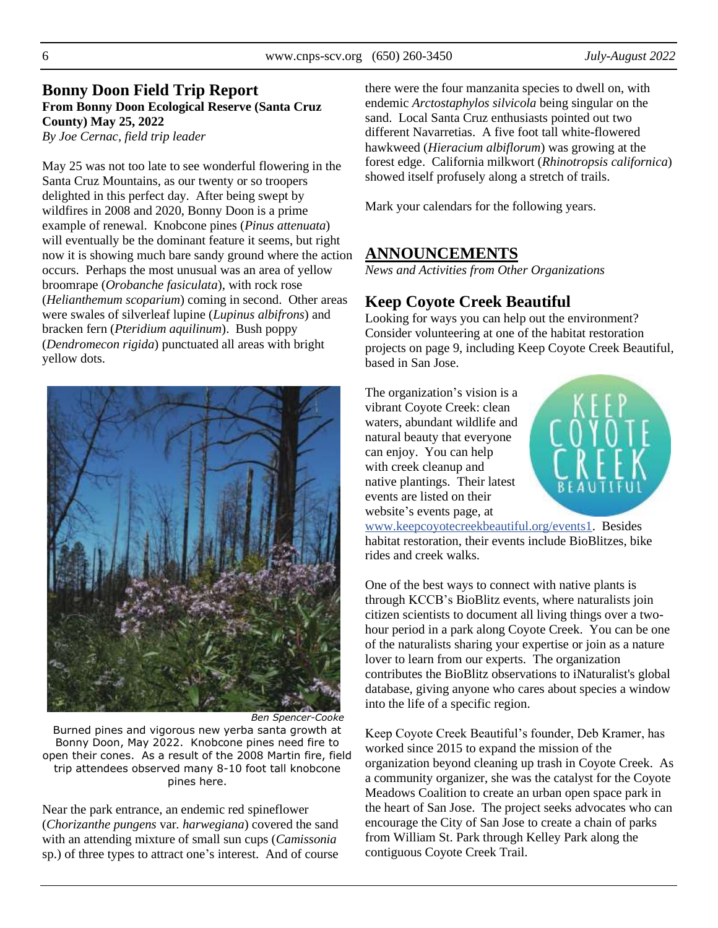#### **Bonny Doon Field Trip Report From Bonny Doon Ecological Reserve (Santa Cruz County) May 25, 2022**

*By Joe Cernac, field trip leader*

May 25 was not too late to see wonderful flowering in the Santa Cruz Mountains, as our twenty or so troopers delighted in this perfect day. After being swept by wildfires in 2008 and 2020, Bonny Doon is a prime example of renewal. Knobcone pines (*Pinus attenuata*) will eventually be the dominant feature it seems, but right now it is showing much bare sandy ground where the action occurs. Perhaps the most unusual was an area of yellow broomrape (*Orobanche fasiculata*), with rock rose (*Helianthemum scoparium*) coming in second. Other areas were swales of silverleaf lupine (*Lupinus albifrons*) and bracken fern (*Pteridium aquilinum*). Bush poppy (*Dendromecon rigida*) punctuated all areas with bright yellow dots.



*Ben Spencer-Cooke*

Burned pines and vigorous new yerba santa growth at Bonny Doon, May 2022. Knobcone pines need fire to open their cones. As a result of the 2008 Martin fire, field trip attendees observed many 8-10 foot tall knobcone pines here.

Near the park entrance, an endemic red spineflower (*Chorizanthe pungens* var*. harwegiana*) covered the sand with an attending mixture of small sun cups (*Camissonia*  sp.) of three types to attract one's interest. And of course

there were the four manzanita species to dwell on, with endemic *Arctostaphylos silvicola* being singular on the sand. Local Santa Cruz enthusiasts pointed out two different Navarretias. A five foot tall white-flowered hawkweed (*Hieracium albiflorum*) was growing at the forest edge. California milkwort (*Rhinotropsis californica*) showed itself profusely along a stretch of trails.

Mark your calendars for the following years.

#### **ANNOUNCEMENTS**

*News and Activities from Other Organizations*

# **Keep Coyote Creek Beautiful**

Looking for ways you can help out the environment? Consider volunteering at one of the habitat restoration projects on page 9, including Keep Coyote Creek Beautiful, based in San Jose.

The organization's vision is a vibrant Coyote Creek: clean waters, abundant wildlife and natural beauty that everyone can enjoy. You can help with creek cleanup and native plantings. Their latest events are listed on their website's events page, at



[www.keepcoyotecreekbeautiful.org/events1.](https://keepcoyotecreekbeautiful.org/events1) Besides habitat restoration, their events include BioBlitzes, bike rides and creek walks.

One of the best ways to connect with native plants is through KCCB's BioBlitz events, where naturalists join citizen scientists to document all living things over a twohour period in a park along Coyote Creek. You can be one of the naturalists sharing your expertise or join as a nature lover to learn from our experts. The organization contributes the BioBlitz observations to iNaturalist's global database, giving anyone who cares about species a window into the life of a specific region.

Keep Coyote Creek Beautiful's founder, Deb Kramer, has worked since 2015 to expand the mission of the organization beyond cleaning up trash in Coyote Creek. As a community organizer, she was the catalyst for the Coyote Meadows Coalition to create an urban open space park in the heart of San Jose. The project seeks advocates who can encourage the City of San Jose to create a chain of parks from William St. Park through Kelley Park along the contiguous Coyote Creek Trail.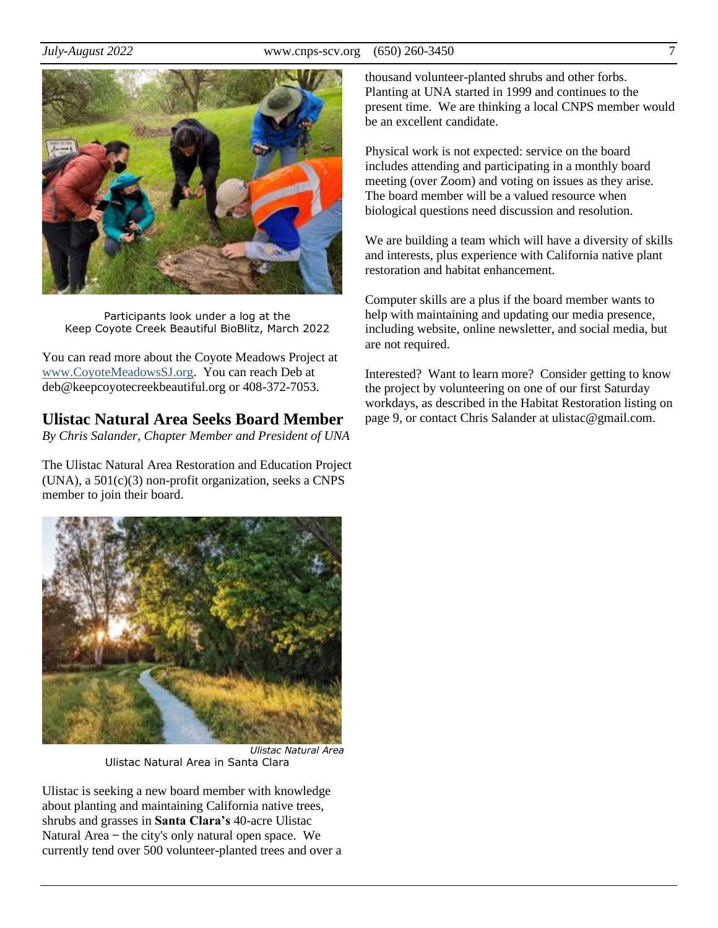

Participants look under a log at the Keep Coyote Creek Beautiful BioBlitz, March 2022

You can read more about the Coyote Meadows Project at [www.CoyoteMeadowsSJ.org.](https://coyotemeadowssj.org/) You can reach Deb at deb@keepcoyotecreekbeautiful.org or 408-372-7053.

# **Ulistac Natural Area Seeks Board Member**

*By Chris Salander, Chapter Member and President of UNA*

The Ulistac Natural Area Restoration and Education Project (UNA), a 501(c)(3) non-profit organization, seeks a CNPS member to join their board.



Ulistac Natural Area in Santa Clara

Ulistac is seeking a new board member with knowledge about planting and maintaining California native trees, shrubs and grasses in **Santa Clara's** 40-acre Ulistac Natural Area – the city's only natural open space. We currently tend over 500 volunteer-planted trees and over a thousand volunteer-planted shrubs and other forbs. Planting at UNA started in 1999 and continues to the present time. We are thinking a local CNPS member would be an excellent candidate.

Physical work is not expected: service on the board includes attending and participating in a monthly board meeting (over Zoom) and voting on issues as they arise. The board member will be a valued resource when biological questions need discussion and resolution.

We are building a team which will have a diversity of skills and interests, plus experience with California native plant restoration and habitat enhancement.

Computer skills are a plus if the board member wants to help with maintaining and updating our media presence, including website, online newsletter, and social media, but are not required.

Interested? Want to learn more? Consider getting to know the project by volunteering on one of our first Saturday workdays, as described in the Habitat Restoration listing on page 9, or contact Chris Salander at ulistac@gmail.com.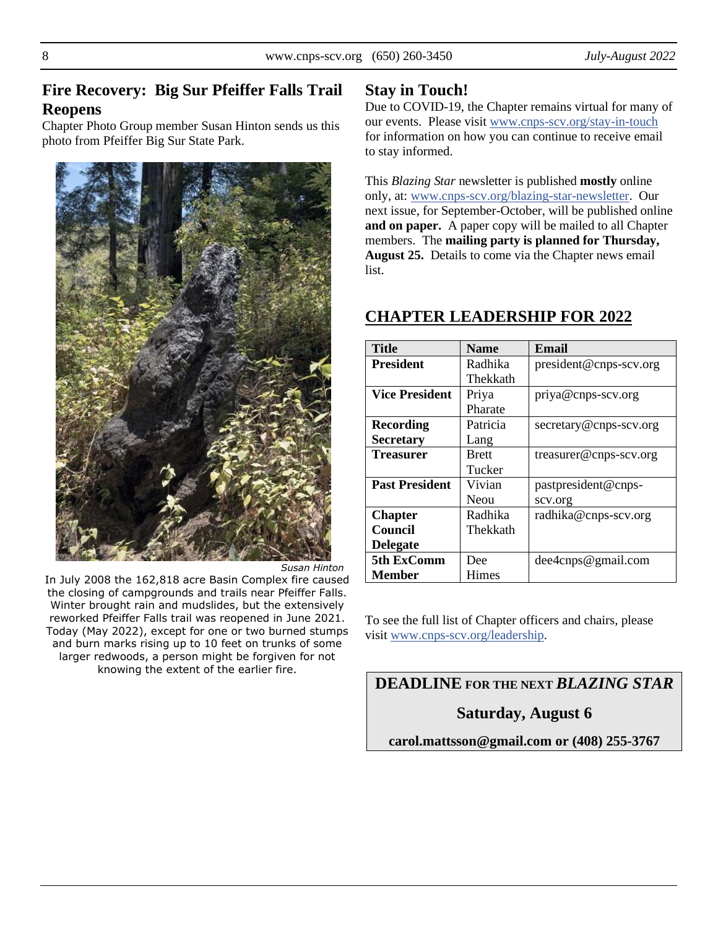## **Fire Recovery: Big Sur Pfeiffer Falls Trail Reopens**

Chapter Photo Group member Susan Hinton sends us this photo from Pfeiffer Big Sur State Park.



*Susan Hinton*

In July 2008 the 162,818 acre Basin Complex fire caused the closing of campgrounds and trails near Pfeiffer Falls. Winter brought rain and mudslides, but the extensively reworked Pfeiffer Falls trail was reopened in June 2021. Today (May 2022), except for one or two burned stumps and burn marks rising up to 10 feet on trunks of some larger redwoods, a person might be forgiven for not knowing the extent of the earlier fire.

#### **Stay in Touch!**

Due to COVID-19, the Chapter remains virtual for many of our events. Please visit [www.cnps-scv.org/stay-in-touch](https://www.cnps-scv.org/stay-in-touch) for information on how you can continue to receive email to stay informed.

This *Blazing Star* newsletter is published **mostly** online only, at: [www.cnps-scv.org/blazing-star-newsletter.](https://www.cnps-scv.org/blazing-star-newsletter) Our next issue, for September-October, will be published online **and on paper.** A paper copy will be mailed to all Chapter members. The **mailing party is planned for Thursday, August 25.** Details to come via the Chapter news email list.

| <b>Title</b>          | <b>Name</b>  | <b>Email</b>           |
|-----------------------|--------------|------------------------|
| <b>President</b>      | Radhika      | president@cnps-scv.org |
|                       | Thekkath     |                        |
| <b>Vice President</b> | Priya        | priya@cnps-scv.org     |
|                       | Pharate      |                        |
| <b>Recording</b>      | Patricia     | secretary@cnps-scv.org |
| <b>Secretary</b>      | Lang         |                        |
| Treasurer             | <b>Brett</b> | treasurer@cnps-scv.org |
|                       | Tucker       |                        |
| <b>Past President</b> | Vivian       | pastpresident@cnps-    |
|                       | Neou         | scv.org                |
| <b>Chapter</b>        | Radhika      | radhika@cnps-scv.org   |
| Council               | Thekkath     |                        |
| <b>Delegate</b>       |              |                        |
| 5th ExComm            | Dee          | $dee4$ cnps@gmail.com  |
| Member                | Himes        |                        |

#### **CHAPTER LEADERSHIP FOR 2022**

To see the full list of Chapter officers and chairs, please visit [www.cnps-scv.org/leadership.](https://cnps-scv.org/leadership)

**DEADLINE FOR THE NEXT** *BLAZING STAR*

**Saturday, August 6**

**carol.mattsson@gmail.com or (408) 255-3767**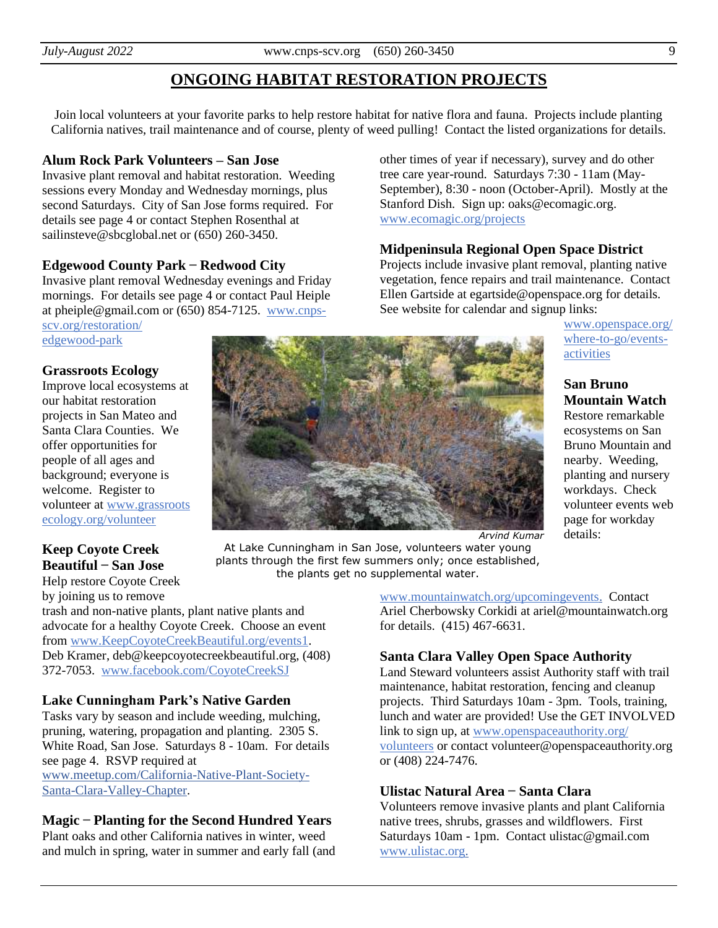# **ONGOING HABITAT RESTORATION PROJECTS**

Join local volunteers at your favorite parks to help restore habitat for native flora and fauna. Projects include planting California natives, trail maintenance and of course, plenty of weed pulling! Contact the listed organizations for details.

#### **Alum Rock Park Volunteers – San Jose**

Invasive plant removal and habitat restoration. Weeding sessions every Monday and Wednesday mornings, plus second Saturdays. City of San Jose forms required. For details see page 4 or contact Stephen Rosenthal at sailinsteve@sbcglobal.net or (650) 260-3450.

#### **Edgewood County Park ̶ Redwood City**

Invasive plant removal Wednesday evenings and Friday mornings. For details see page 4 or contact Paul Heiple at pheiple@gmail.com or (650) 854-7125. [www.cnps-](https://cnps-scv.org/restoration/edgewood-park)

[scv.org/restoration/](https://cnps-scv.org/restoration/edgewood-park) [edgewood-park](https://cnps-scv.org/restoration/edgewood-park)

#### **Grassroots Ecology**

Improve local ecosystems at our habitat restoration projects in San Mateo and Santa Clara Counties. We offer opportunities for people of all ages and background; everyone is welcome. Register to volunteer at [www.grassroots](https://grassrootsecology.org/volunteer) [ecology.org/volunteer](https://grassrootsecology.org/volunteer)

#### **Keep Coyote Creek Beautiful ̶ San Jose**

Help restore Coyote Creek by joining us to remove

trash and non-native plants, plant native plants and advocate for a healthy Coyote Creek. Choose an event from [www.KeepCoyoteCreekBeautiful.org/events1.](https://www.keepcoyotecreekbeautiful.org/events1) Deb Kramer, deb@keepcoyotecreekbeautiful.org, (408) 372-7053. [www.facebook.com/CoyoteCreekSJ](https://www.facebook.com/CoyoteCreekSJ)

#### **Lake Cunningham Park's Native Garden**

Tasks vary by season and include weeding, mulching, pruning, watering, propagation and planting. 2305 S. White Road, San Jose. Saturdays 8 - 10am. For details see page 4. RSVP required at [www.meetup.com/California-Native-Plant-Society-](https://www.meetup.com/California-Native-Plant-Society-Santa-Clara-Valley-Chapter/)[Santa-Clara-Valley-Chapter.](https://www.meetup.com/California-Native-Plant-Society-Santa-Clara-Valley-Chapter/)

#### **Magic ̶ Planting for the Second Hundred Years**

Plant oaks and other California natives in winter, weed and mulch in spring, water in summer and early fall (and other times of year if necessary), survey and do other tree care year-round. Saturdays 7:30 - 11am (May-September), 8:30 - noon (October-April). Mostly at the Stanford Dish. Sign up: oaks@ecomagic.org. [www.ecomagic.org/projects](https://ecomagic.org/projects)

#### **Midpeninsula Regional Open Space District**

Projects include invasive plant removal, planting native vegetation, fence repairs and trail maintenance. Contact Ellen Gartside at egartside@openspace.org for details. See website for calendar and signup links:

> [www.openspace.org/](https://www.openspace.org/where-to-go/events-activities?f%5B0%5D=activity_type%3Aoutdoor_service_project) [where-to-go/events](https://www.openspace.org/where-to-go/events-activities?f%5B0%5D=activity_type%3Aoutdoor_service_project)[activities](https://www.openspace.org/where-to-go/events-activities?f%5B0%5D=activity_type%3Aoutdoor_service_project)

**San Bruno Mountain Watch**

Restore remarkable ecosystems on San Bruno Mountain and nearby. Weeding, planting and nursery workdays. Check volunteer events web page for workday details:

*Arvind Kumar*

At Lake Cunningham in San Jose, volunteers water young plants through the first few summers only; once established, the plants get no supplemental water.

[www.mountainwatch.org/upcomingevents.](http://www.mountainwatch.org/upcomingevents) Contact Ariel Cherbowsky Corkidi at ariel@mountainwatch.org for details. (415) 467-6631.

#### **Santa Clara Valley Open Space Authority**

Land Steward volunteers assist Authority staff with trail maintenance, habitat restoration, fencing and cleanup projects. Third Saturdays 10am - 3pm. Tools, training, lunch and water are provided! Use the GET INVOLVED link to sign up, at [www.openspaceauthority.org/](https://www.openspaceauthority.org/volunteers/) [volunteers](https://www.openspaceauthority.org/volunteers/) or contact volunteer@openspaceauthority.org or (408) 224-7476.

#### **Ulistac Natural Area ̶ Santa Clara**

Volunteers remove invasive plants and plant California native trees, shrubs, grasses and wildflowers. First Saturdays 10am - 1pm. Contact ulistac@gmail.com [www.ulistac.org.](http://www.ulistac.org/)